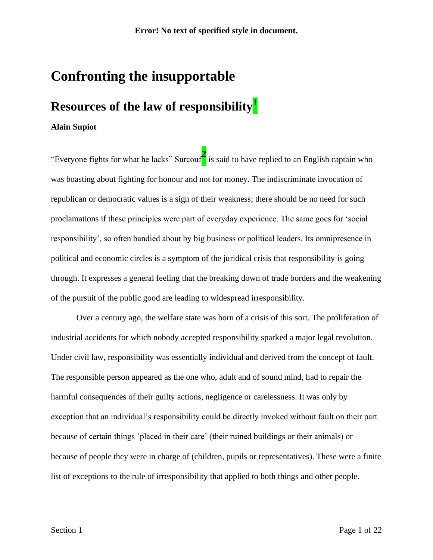# **Confronting the insupportable**

## **Resources of the law of responsibility**<sup>1</sup>

### **Alain Supiot**

"Everyone fights for what he lacks" Surcouf**<sup>2</sup>** is said to have replied to an English captain who was boasting about fighting for honour and not for money. The indiscriminate invocation of republican or democratic values is a sign of their weakness; there should be no need for such proclamations if these principles were part of everyday experience. The same goes for 'social responsibility', so often bandied about by big business or political leaders. Its omnipresence in political and economic circles is a symptom of the juridical crisis that responsibility is going through. It expresses a general feeling that the breaking down of trade borders and the weakening of the pursuit of the public good are leading to widespread irresponsibility.

Over a century ago, the welfare state was born of a crisis of this sort. The proliferation of industrial accidents for which nobody accepted responsibility sparked a major legal revolution. Under civil law, responsibility was essentially individual and derived from the concept of fault. The responsible person appeared as the one who, adult and of sound mind, had to repair the harmful consequences of their guilty actions, negligence or carelessness. It was only by exception that an individual's responsibility could be directly invoked without fault on their part because of certain things 'placed in their care' (their ruined buildings or their animals) or because of people they were in charge of (children, pupils or representatives). These were a finite list of exceptions to the rule of irresponsibility that applied to both things and other people.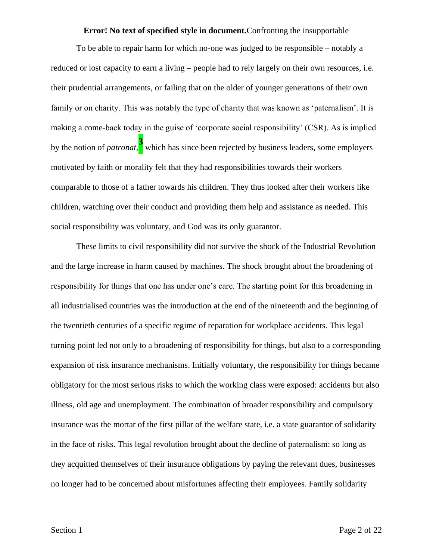#### **Error! No text of specified style in document.**Confronting the insupportable

To be able to repair harm for which no-one was judged to be responsible – notably a reduced or lost capacity to earn a living – people had to rely largely on their own resources, i.e. their prudential arrangements, or failing that on the older of younger generations of their own family or on charity. This was notably the type of charity that was known as 'paternalism'. It is making a come-back today in the guise of 'corporate social responsibility' (CSR). As is implied by the notion of *patronat*, **3** which has since been rejected by business leaders, some employers motivated by faith or morality felt that they had responsibilities towards their workers comparable to those of a father towards his children. They thus looked after their workers like children, watching over their conduct and providing them help and assistance as needed. This social responsibility was voluntary, and God was its only guarantor.

These limits to civil responsibility did not survive the shock of the Industrial Revolution and the large increase in harm caused by machines. The shock brought about the broadening of responsibility for things that one has under one's care. The starting point for this broadening in all industrialised countries was the introduction at the end of the nineteenth and the beginning of the twentieth centuries of a specific regime of reparation for workplace accidents. This legal turning point led not only to a broadening of responsibility for things, but also to a corresponding expansion of risk insurance mechanisms. Initially voluntary, the responsibility for things became obligatory for the most serious risks to which the working class were exposed: accidents but also illness, old age and unemployment. The combination of broader responsibility and compulsory insurance was the mortar of the first pillar of the welfare state, i.e. a state guarantor of solidarity in the face of risks. This legal revolution brought about the decline of paternalism: so long as they acquitted themselves of their insurance obligations by paying the relevant dues, businesses no longer had to be concerned about misfortunes affecting their employees. Family solidarity

Section 1 Page 2 of 22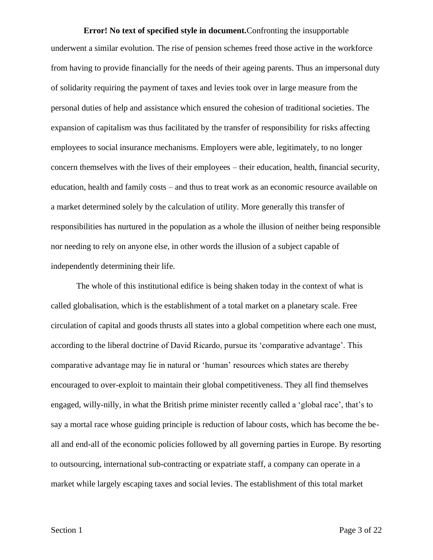**Error! No text of specified style in document.**Confronting the insupportable underwent a similar evolution. The rise of pension schemes freed those active in the workforce from having to provide financially for the needs of their ageing parents. Thus an impersonal duty of solidarity requiring the payment of taxes and levies took over in large measure from the personal duties of help and assistance which ensured the cohesion of traditional societies. The expansion of capitalism was thus facilitated by the transfer of responsibility for risks affecting employees to social insurance mechanisms. Employers were able, legitimately, to no longer concern themselves with the lives of their employees – their education, health, financial security, education, health and family costs – and thus to treat work as an economic resource available on a market determined solely by the calculation of utility. More generally this transfer of responsibilities has nurtured in the population as a whole the illusion of neither being responsible nor needing to rely on anyone else, in other words the illusion of a subject capable of independently determining their life.

The whole of this institutional edifice is being shaken today in the context of what is called globalisation, which is the establishment of a total market on a planetary scale. Free circulation of capital and goods thrusts all states into a global competition where each one must, according to the liberal doctrine of David Ricardo, pursue its 'comparative advantage'. This comparative advantage may lie in natural or 'human' resources which states are thereby encouraged to over-exploit to maintain their global competitiveness. They all find themselves engaged, willy-nilly, in what the British prime minister recently called a 'global race', that's to say a mortal race whose guiding principle is reduction of labour costs, which has become the beall and end-all of the economic policies followed by all governing parties in Europe. By resorting to outsourcing, international sub-contracting or expatriate staff, a company can operate in a market while largely escaping taxes and social levies. The establishment of this total market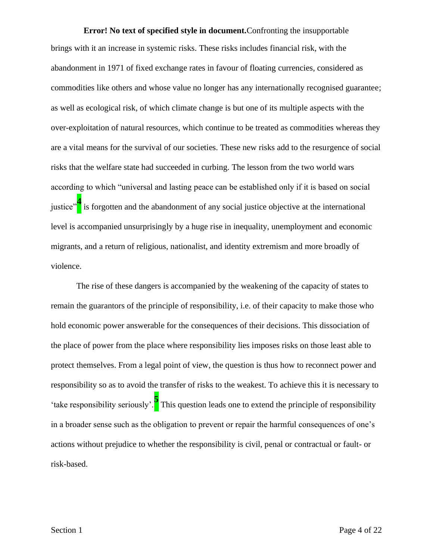**Error! No text of specified style in document.**Confronting the insupportable brings with it an increase in systemic risks. These risks includes financial risk, with the abandonment in 1971 of fixed exchange rates in favour of floating currencies, considered as commodities like others and whose value no longer has any internationally recognised guarantee; as well as ecological risk, of which climate change is but one of its multiple aspects with the over-exploitation of natural resources, which continue to be treated as commodities whereas they are a vital means for the survival of our societies. These new risks add to the resurgence of social risks that the welfare state had succeeded in curbing. The lesson from the two world wars according to which "universal and lasting peace can be established only if it is based on social justice"**<sup>4</sup>** is forgotten and the abandonment of any social justice objective at the international level is accompanied unsurprisingly by a huge rise in inequality, unemployment and economic migrants, and a return of religious, nationalist, and identity extremism and more broadly of violence.

The rise of these dangers is accompanied by the weakening of the capacity of states to remain the guarantors of the principle of responsibility, i.e. of their capacity to make those who hold economic power answerable for the consequences of their decisions. This dissociation of the place of power from the place where responsibility lies imposes risks on those least able to protect themselves. From a legal point of view, the question is thus how to reconnect power and responsibility so as to avoid the transfer of risks to the weakest. To achieve this it is necessary to 'take responsibility seriously'.**<sup>5</sup>** This question leads one to extend the principle of responsibility in a broader sense such as the obligation to prevent or repair the harmful consequences of one's actions without prejudice to whether the responsibility is civil, penal or contractual or fault- or risk-based.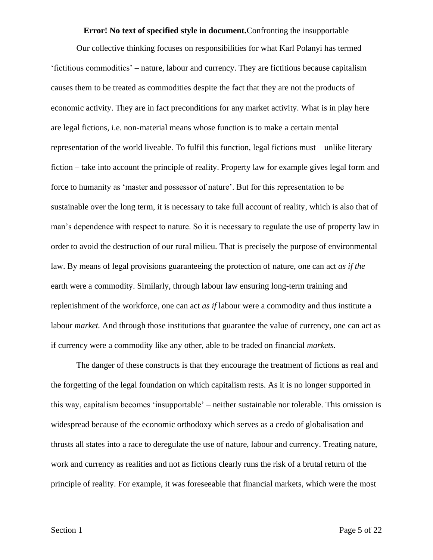#### **Error! No text of specified style in document.**Confronting the insupportable

Our collective thinking focuses on responsibilities for what Karl Polanyi has termed 'fictitious commodities' – nature, labour and currency. They are fictitious because capitalism causes them to be treated as commodities despite the fact that they are not the products of economic activity. They are in fact preconditions for any market activity. What is in play here are legal fictions, i.e. non-material means whose function is to make a certain mental representation of the world liveable. To fulfil this function, legal fictions must – unlike literary fiction – take into account the principle of reality. Property law for example gives legal form and force to humanity as 'master and possessor of nature'. But for this representation to be sustainable over the long term, it is necessary to take full account of reality, which is also that of man's dependence with respect to nature. So it is necessary to regulate the use of property law in order to avoid the destruction of our rural milieu. That is precisely the purpose of environmental law. By means of legal provisions guaranteeing the protection of nature, one can act *as if the* earth were a commodity. Similarly, through labour law ensuring long-term training and replenishment of the workforce, one can act *as if* labour were a commodity and thus institute a labour *market*. And through those institutions that guarantee the value of currency, one can act as if currency were a commodity like any other, able to be traded on financial *markets.*

The danger of these constructs is that they encourage the treatment of fictions as real and the forgetting of the legal foundation on which capitalism rests. As it is no longer supported in this way, capitalism becomes 'insupportable' – neither sustainable nor tolerable. This omission is widespread because of the economic orthodoxy which serves as a credo of globalisation and thrusts all states into a race to deregulate the use of nature, labour and currency. Treating nature, work and currency as realities and not as fictions clearly runs the risk of a brutal return of the principle of reality. For example, it was foreseeable that financial markets, which were the most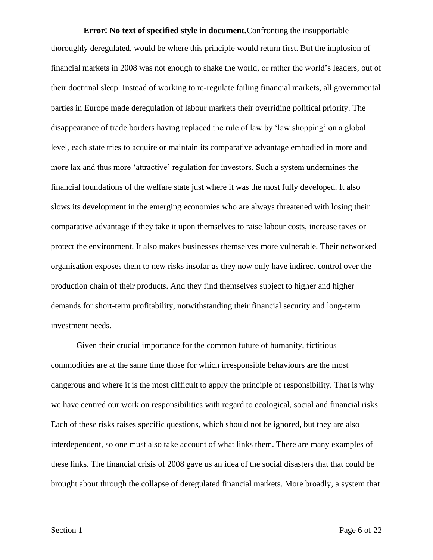**Error! No text of specified style in document.**Confronting the insupportable thoroughly deregulated, would be where this principle would return first. But the implosion of financial markets in 2008 was not enough to shake the world, or rather the world's leaders, out of their doctrinal sleep. Instead of working to re-regulate failing financial markets, all governmental parties in Europe made deregulation of labour markets their overriding political priority. The disappearance of trade borders having replaced the rule of law by 'law shopping' on a global level, each state tries to acquire or maintain its comparative advantage embodied in more and more lax and thus more 'attractive' regulation for investors. Such a system undermines the financial foundations of the welfare state just where it was the most fully developed. It also slows its development in the emerging economies who are always threatened with losing their comparative advantage if they take it upon themselves to raise labour costs, increase taxes or protect the environment. It also makes businesses themselves more vulnerable. Their networked organisation exposes them to new risks insofar as they now only have indirect control over the production chain of their products. And they find themselves subject to higher and higher demands for short-term profitability, notwithstanding their financial security and long-term investment needs.

Given their crucial importance for the common future of humanity, fictitious commodities are at the same time those for which irresponsible behaviours are the most dangerous and where it is the most difficult to apply the principle of responsibility. That is why we have centred our work on responsibilities with regard to ecological, social and financial risks. Each of these risks raises specific questions, which should not be ignored, but they are also interdependent, so one must also take account of what links them. There are many examples of these links. The financial crisis of 2008 gave us an idea of the social disasters that that could be brought about through the collapse of deregulated financial markets. More broadly, a system that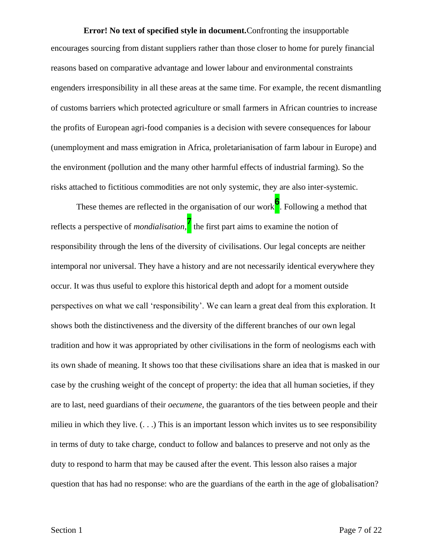**Error! No text of specified style in document.**Confronting the insupportable encourages sourcing from distant suppliers rather than those closer to home for purely financial reasons based on comparative advantage and lower labour and environmental constraints engenders irresponsibility in all these areas at the same time. For example, the recent dismantling of customs barriers which protected agriculture or small farmers in African countries to increase the profits of European agri-food companies is a decision with severe consequences for labour (unemployment and mass emigration in Africa, proletarianisation of farm labour in Europe) and the environment (pollution and the many other harmful effects of industrial farming). So the risks attached to fictitious commodities are not only systemic, they are also inter-systemic.

These themes are reflected in the organisation of our work**<sup>6</sup>** . Following a method that reflects a perspective of *mondialisation*, **7** the first part aims to examine the notion of responsibility through the lens of the diversity of civilisations. Our legal concepts are neither intemporal nor universal. They have a history and are not necessarily identical everywhere they occur. It was thus useful to explore this historical depth and adopt for a moment outside perspectives on what we call 'responsibility'. We can learn a great deal from this exploration. It shows both the distinctiveness and the diversity of the different branches of our own legal tradition and how it was appropriated by other civilisations in the form of neologisms each with its own shade of meaning. It shows too that these civilisations share an idea that is masked in our case by the crushing weight of the concept of property: the idea that all human societies, if they are to last, need guardians of their *oecumene*, the guarantors of the ties between people and their milieu in which they live.  $( \ldots )$  This is an important lesson which invites us to see responsibility in terms of duty to take charge, conduct to follow and balances to preserve and not only as the duty to respond to harm that may be caused after the event. This lesson also raises a major question that has had no response: who are the guardians of the earth in the age of globalisation?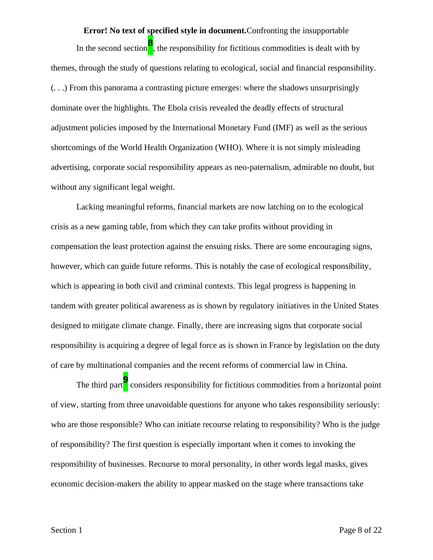**Error! No text of specified style in document.**Confronting the insupportable In the second section**<sup>8</sup>** , the responsibility for fictitious commodities is dealt with by themes, through the study of questions relating to ecological, social and financial responsibility. (. . .) From this panorama a contrasting picture emerges: where the shadows unsurprisingly dominate over the highlights. The Ebola crisis revealed the deadly effects of structural adjustment policies imposed by the International Monetary Fund (IMF) as well as the serious shortcomings of the World Health Organization (WHO). Where it is not simply misleading advertising, corporate social responsibility appears as neo-paternalism, admirable no doubt, but without any significant legal weight.

Lacking meaningful reforms, financial markets are now latching on to the ecological crisis as a new gaming table, from which they can take profits without providing in compensation the least protection against the ensuing risks. There are some encouraging signs, however, which can guide future reforms. This is notably the case of ecological responsibility, which is appearing in both civil and criminal contexts. This legal progress is happening in tandem with greater political awareness as is shown by regulatory initiatives in the United States designed to mitigate climate change. Finally, there are increasing signs that corporate social responsibility is acquiring a degree of legal force as is shown in France by legislation on the duty of care by multinational companies and the recent reforms of commercial law in China.

The third part**<sup>9</sup>** considers responsibility for fictitious commodities from a horizontal point of view, starting from three unavoidable questions for anyone who takes responsibility seriously: who are those responsible? Who can initiate recourse relating to responsibility? Who is the judge of responsibility? The first question is especially important when it comes to invoking the responsibility of businesses. Recourse to moral personality, in other words legal masks, gives economic decision-makers the ability to appear masked on the stage where transactions take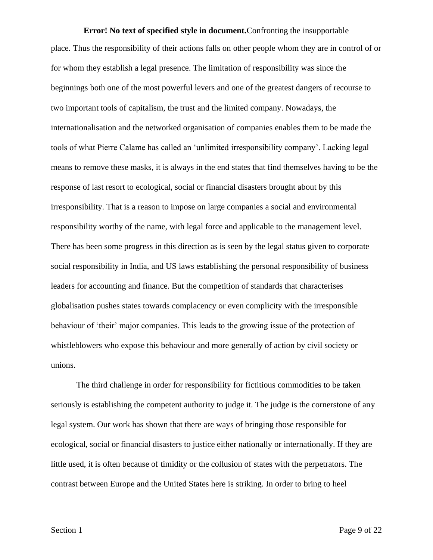**Error! No text of specified style in document.**Confronting the insupportable place. Thus the responsibility of their actions falls on other people whom they are in control of or for whom they establish a legal presence. The limitation of responsibility was since the beginnings both one of the most powerful levers and one of the greatest dangers of recourse to two important tools of capitalism, the trust and the limited company. Nowadays, the internationalisation and the networked organisation of companies enables them to be made the tools of what Pierre Calame has called an 'unlimited irresponsibility company'. Lacking legal means to remove these masks, it is always in the end states that find themselves having to be the response of last resort to ecological, social or financial disasters brought about by this irresponsibility. That is a reason to impose on large companies a social and environmental responsibility worthy of the name, with legal force and applicable to the management level. There has been some progress in this direction as is seen by the legal status given to corporate social responsibility in India, and US laws establishing the personal responsibility of business leaders for accounting and finance. But the competition of standards that characterises globalisation pushes states towards complacency or even complicity with the irresponsible behaviour of 'their' major companies. This leads to the growing issue of the protection of whistleblowers who expose this behaviour and more generally of action by civil society or unions.

The third challenge in order for responsibility for fictitious commodities to be taken seriously is establishing the competent authority to judge it. The judge is the cornerstone of any legal system. Our work has shown that there are ways of bringing those responsible for ecological, social or financial disasters to justice either nationally or internationally. If they are little used, it is often because of timidity or the collusion of states with the perpetrators. The contrast between Europe and the United States here is striking. In order to bring to heel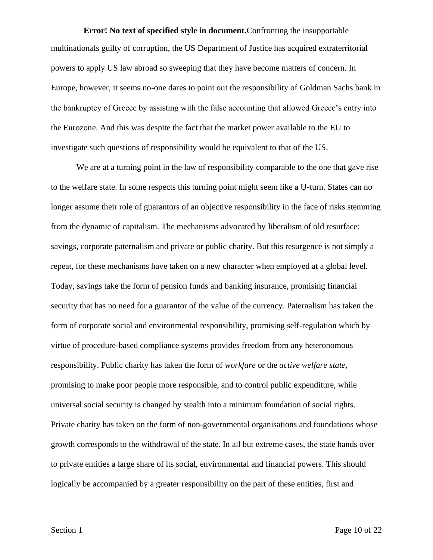**Error! No text of specified style in document.**Confronting the insupportable multinationals guilty of corruption, the US Department of Justice has acquired extraterritorial powers to apply US law abroad so sweeping that they have become matters of concern. In Europe, however, it seems no-one dares to point out the responsibility of Goldman Sachs bank in the bankruptcy of Greece by assisting with the false accounting that allowed Greece's entry into the Eurozone. And this was despite the fact that the market power available to the EU to investigate such questions of responsibility would be equivalent to that of the US.

We are at a turning point in the law of responsibility comparable to the one that gave rise to the welfare state. In some respects this turning point might seem like a U-turn. States can no longer assume their role of guarantors of an objective responsibility in the face of risks stemming from the dynamic of capitalism. The mechanisms advocated by liberalism of old resurface: savings, corporate paternalism and private or public charity. But this resurgence is not simply a repeat, for these mechanisms have taken on a new character when employed at a global level. Today, savings take the form of pension funds and banking insurance, promising financial security that has no need for a guarantor of the value of the currency. Paternalism has taken the form of corporate social and environmental responsibility, promising self-regulation which by virtue of procedure-based compliance systems provides freedom from any heteronomous responsibility. Public charity has taken the form of *workfare* or the *active welfare state*, promising to make poor people more responsible, and to control public expenditure, while universal social security is changed by stealth into a minimum foundation of social rights. Private charity has taken on the form of non-governmental organisations and foundations whose growth corresponds to the withdrawal of the state. In all but extreme cases, the state hands over to private entities a large share of its social, environmental and financial powers. This should logically be accompanied by a greater responsibility on the part of these entities, first and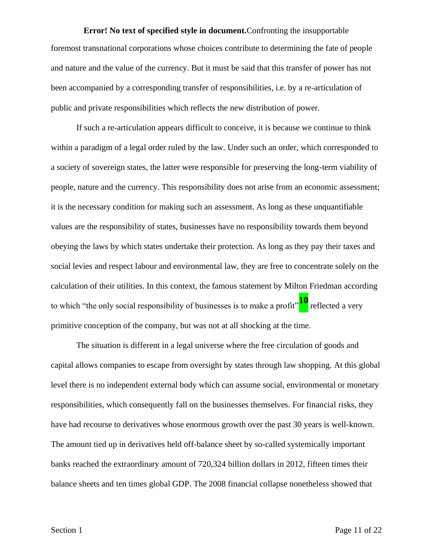**Error! No text of specified style in document.**Confronting the insupportable foremost transnational corporations whose choices contribute to determining the fate of people and nature and the value of the currency. But it must be said that this transfer of power has not been accompanied by a corresponding transfer of responsibilities, i.e. by a re-articulation of public and private responsibilities which reflects the new distribution of power.

If such a re-articulation appears difficult to conceive, it is because we continue to think within a paradigm of a legal order ruled by the law. Under such an order, which corresponded to a society of sovereign states, the latter were responsible for preserving the long-term viability of people, nature and the currency. This responsibility does not arise from an economic assessment; it is the necessary condition for making such an assessment. As long as these unquantifiable values are the responsibility of states, businesses have no responsibility towards them beyond obeying the laws by which states undertake their protection. As long as they pay their taxes and social levies and respect labour and environmental law, they are free to concentrate solely on the calculation of their utilities. In this context, the famous statement by Milton Friedman according to which "the only social responsibility of businesses is to make a profit"**<sup>10</sup>** reflected a very primitive conception of the company, but was not at all shocking at the time.

The situation is different in a legal universe where the free circulation of goods and capital allows companies to escape from oversight by states through law shopping. At this global level there is no independent external body which can assume social, environmental or monetary responsibilities, which consequently fall on the businesses themselves. For financial risks, they have had recourse to derivatives whose enormous growth over the past 30 years is well-known. The amount tied up in derivatives held off-balance sheet by so-called systemically important banks reached the extraordinary amount of 720,324 billion dollars in 2012, fifteen times their balance sheets and ten times global GDP. The 2008 financial collapse nonetheless showed that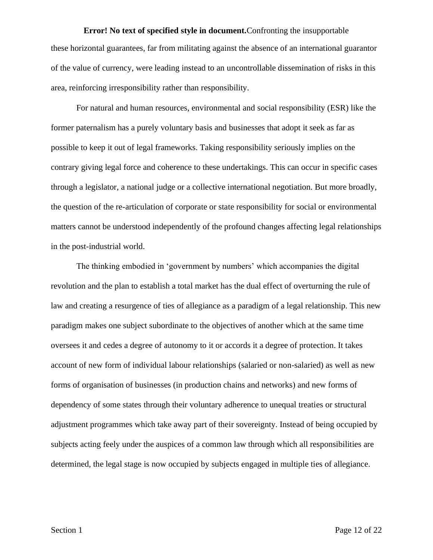**Error! No text of specified style in document.**Confronting the insupportable these horizontal guarantees, far from militating against the absence of an international guarantor of the value of currency, were leading instead to an uncontrollable dissemination of risks in this area, reinforcing irresponsibility rather than responsibility.

For natural and human resources, environmental and social responsibility (ESR) like the former paternalism has a purely voluntary basis and businesses that adopt it seek as far as possible to keep it out of legal frameworks. Taking responsibility seriously implies on the contrary giving legal force and coherence to these undertakings. This can occur in specific cases through a legislator, a national judge or a collective international negotiation. But more broadly, the question of the re-articulation of corporate or state responsibility for social or environmental matters cannot be understood independently of the profound changes affecting legal relationships in the post-industrial world.

The thinking embodied in 'government by numbers' which accompanies the digital revolution and the plan to establish a total market has the dual effect of overturning the rule of law and creating a resurgence of ties of allegiance as a paradigm of a legal relationship. This new paradigm makes one subject subordinate to the objectives of another which at the same time oversees it and cedes a degree of autonomy to it or accords it a degree of protection. It takes account of new form of individual labour relationships (salaried or non-salaried) as well as new forms of organisation of businesses (in production chains and networks) and new forms of dependency of some states through their voluntary adherence to unequal treaties or structural adjustment programmes which take away part of their sovereignty. Instead of being occupied by subjects acting feely under the auspices of a common law through which all responsibilities are determined, the legal stage is now occupied by subjects engaged in multiple ties of allegiance.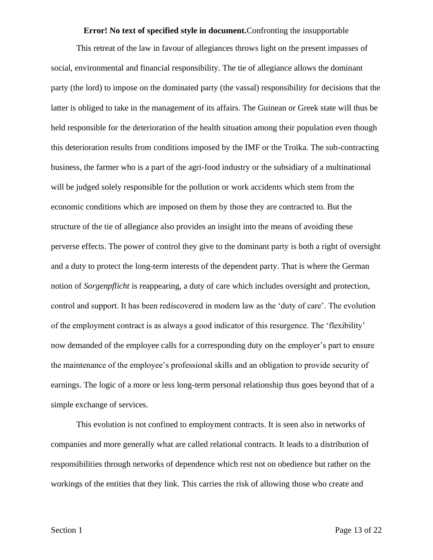#### **Error! No text of specified style in document.**Confronting the insupportable

This retreat of the law in favour of allegiances throws light on the present impasses of social, environmental and financial responsibility. The tie of allegiance allows the dominant party (the lord) to impose on the dominated party (the vassal) responsibility for decisions that the latter is obliged to take in the management of its affairs. The Guinean or Greek state will thus be held responsible for the deterioration of the health situation among their population even though this deterioration results from conditions imposed by the IMF or the Troïka. The sub-contracting business, the farmer who is a part of the agri-food industry or the subsidiary of a multinational will be judged solely responsible for the pollution or work accidents which stem from the economic conditions which are imposed on them by those they are contracted to. But the structure of the tie of allegiance also provides an insight into the means of avoiding these perverse effects. The power of control they give to the dominant party is both a right of oversight and a duty to protect the long-term interests of the dependent party. That is where the German notion of *Sorgenpflicht* is reappearing, a duty of care which includes oversight and protection, control and support. It has been rediscovered in modern law as the 'duty of care'. The evolution of the employment contract is as always a good indicator of this resurgence. The 'flexibility' now demanded of the employee calls for a corresponding duty on the employer's part to ensure the maintenance of the employee's professional skills and an obligation to provide security of earnings. The logic of a more or less long-term personal relationship thus goes beyond that of a simple exchange of services.

This evolution is not confined to employment contracts. It is seen also in networks of companies and more generally what are called relational contracts. It leads to a distribution of responsibilities through networks of dependence which rest not on obedience but rather on the workings of the entities that they link. This carries the risk of allowing those who create and

Section 1 Page 13 of 22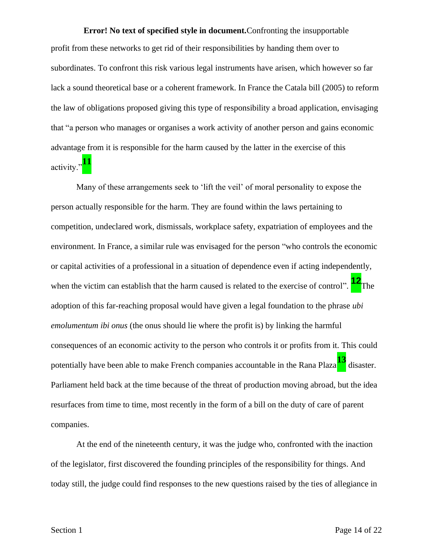**Error! No text of specified style in document.**Confronting the insupportable profit from these networks to get rid of their responsibilities by handing them over to subordinates. To confront this risk various legal instruments have arisen, which however so far lack a sound theoretical base or a coherent framework. In France the Catala bill (2005) to reform the law of obligations proposed giving this type of responsibility a broad application, envisaging that "a person who manages or organises a work activity of another person and gains economic advantage from it is responsible for the harm caused by the latter in the exercise of this activity."<sup>11</sup>

Many of these arrangements seek to 'lift the veil' of moral personality to expose the person actually responsible for the harm. They are found within the laws pertaining to competition, undeclared work, dismissals, workplace safety, expatriation of employees and the environment. In France, a similar rule was envisaged for the person "who controls the economic or capital activities of a professional in a situation of dependence even if acting independently, when the victim can establish that the harm caused is related to the exercise of control". **<sup>12</sup>**The adoption of this far-reaching proposal would have given a legal foundation to the phrase *ubi emolumentum ibi onus* (the onus should lie where the profit is) by linking the harmful consequences of an economic activity to the person who controls it or profits from it. This could potentially have been able to make French companies accountable in the Rana Plaza**<sup>13</sup>** disaster. Parliament held back at the time because of the threat of production moving abroad, but the idea resurfaces from time to time, most recently in the form of a bill on the duty of care of parent companies.

At the end of the nineteenth century, it was the judge who, confronted with the inaction of the legislator, first discovered the founding principles of the responsibility for things. And today still, the judge could find responses to the new questions raised by the ties of allegiance in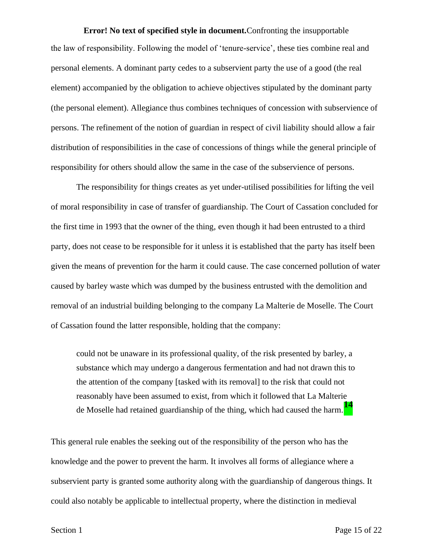**Error! No text of specified style in document.**Confronting the insupportable the law of responsibility. Following the model of 'tenure-service', these ties combine real and personal elements. A dominant party cedes to a subservient party the use of a good (the real element) accompanied by the obligation to achieve objectives stipulated by the dominant party (the personal element). Allegiance thus combines techniques of concession with subservience of persons. The refinement of the notion of guardian in respect of civil liability should allow a fair distribution of responsibilities in the case of concessions of things while the general principle of responsibility for others should allow the same in the case of the subservience of persons.

The responsibility for things creates as yet under-utilised possibilities for lifting the veil of moral responsibility in case of transfer of guardianship. The Court of Cassation concluded for the first time in 1993 that the owner of the thing, even though it had been entrusted to a third party, does not cease to be responsible for it unless it is established that the party has itself been given the means of prevention for the harm it could cause. The case concerned pollution of water caused by barley waste which was dumped by the business entrusted with the demolition and removal of an industrial building belonging to the company La Malterie de Moselle. The Court of Cassation found the latter responsible, holding that the company:

could not be unaware in its professional quality, of the risk presented by barley, a substance which may undergo a dangerous fermentation and had not drawn this to the attention of the company [tasked with its removal] to the risk that could not reasonably have been assumed to exist, from which it followed that La Malterie de Moselle had retained guardianship of the thing, which had caused the harm.**<sup>14</sup>**

This general rule enables the seeking out of the responsibility of the person who has the knowledge and the power to prevent the harm. It involves all forms of allegiance where a subservient party is granted some authority along with the guardianship of dangerous things. It could also notably be applicable to intellectual property, where the distinction in medieval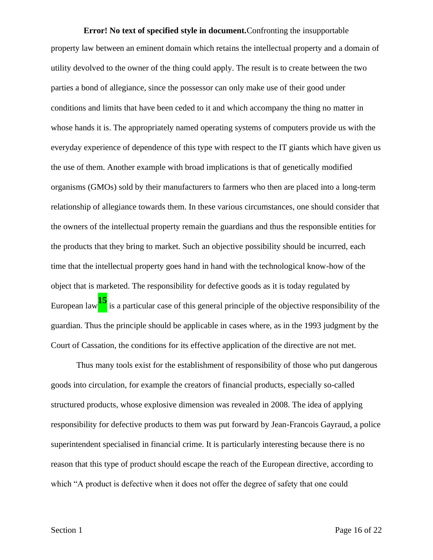**Error! No text of specified style in document.**Confronting the insupportable property law between an eminent domain which retains the intellectual property and a domain of utility devolved to the owner of the thing could apply. The result is to create between the two parties a bond of allegiance, since the possessor can only make use of their good under conditions and limits that have been ceded to it and which accompany the thing no matter in whose hands it is. The appropriately named operating systems of computers provide us with the everyday experience of dependence of this type with respect to the IT giants which have given us the use of them. Another example with broad implications is that of genetically modified organisms (GMOs) sold by their manufacturers to farmers who then are placed into a long-term relationship of allegiance towards them. In these various circumstances, one should consider that the owners of the intellectual property remain the guardians and thus the responsible entities for the products that they bring to market. Such an objective possibility should be incurred, each time that the intellectual property goes hand in hand with the technological know-how of the object that is marketed. The responsibility for defective goods as it is today regulated by European law**<sup>15</sup>** is a particular case of this general principle of the objective responsibility of the guardian. Thus the principle should be applicable in cases where, as in the 1993 judgment by the Court of Cassation, the conditions for its effective application of the directive are not met.

Thus many tools exist for the establishment of responsibility of those who put dangerous goods into circulation, for example the creators of financial products, especially so-called structured products, whose explosive dimension was revealed in 2008. The idea of applying responsibility for defective products to them was put forward by Jean-Francois Gayraud, a police superintendent specialised in financial crime. It is particularly interesting because there is no reason that this type of product should escape the reach of the European directive, according to which "A product is defective when it does not offer the degree of safety that one could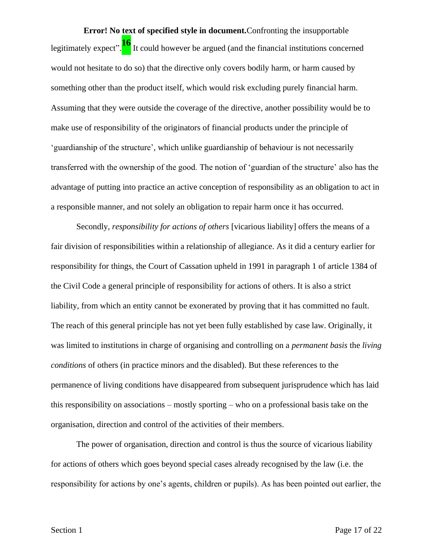**Error! No text of specified style in document.**Confronting the insupportable legitimately expect".<sup>16</sup> It could however be argued (and the financial institutions concerned would not hesitate to do so) that the directive only covers bodily harm, or harm caused by something other than the product itself, which would risk excluding purely financial harm. Assuming that they were outside the coverage of the directive, another possibility would be to make use of responsibility of the originators of financial products under the principle of 'guardianship of the structure', which unlike guardianship of behaviour is not necessarily transferred with the ownership of the good. The notion of 'guardian of the structure' also has the advantage of putting into practice an active conception of responsibility as an obligation to act in a responsible manner, and not solely an obligation to repair harm once it has occurred.

Secondly, *responsibility for actions of others* [vicarious liability] offers the means of a fair division of responsibilities within a relationship of allegiance. As it did a century earlier for responsibility for things, the Court of Cassation upheld in 1991 in paragraph 1 of article 1384 of the Civil Code a general principle of responsibility for actions of others. It is also a strict liability, from which an entity cannot be exonerated by proving that it has committed no fault. The reach of this general principle has not yet been fully established by case law. Originally, it was limited to institutions in charge of organising and controlling on a *permanent basis* the *living conditions* of others (in practice minors and the disabled). But these references to the permanence of living conditions have disappeared from subsequent jurisprudence which has laid this responsibility on associations – mostly sporting – who on a professional basis take on the organisation, direction and control of the activities of their members.

The power of organisation, direction and control is thus the source of vicarious liability for actions of others which goes beyond special cases already recognised by the law (i.e. the responsibility for actions by one's agents, children or pupils). As has been pointed out earlier, the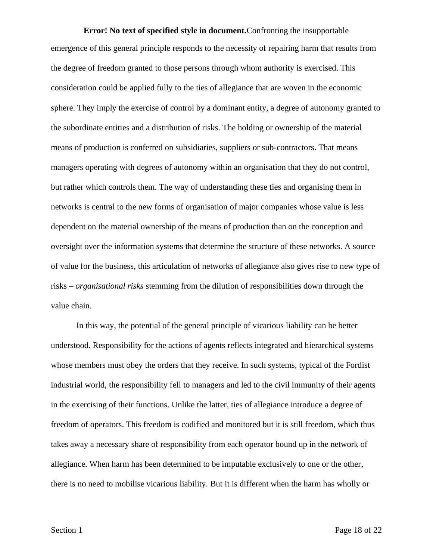**Error! No text of specified style in document.**Confronting the insupportable emergence of this general principle responds to the necessity of repairing harm that results from the degree of freedom granted to those persons through whom authority is exercised. This consideration could be applied fully to the ties of allegiance that are woven in the economic sphere. They imply the exercise of control by a dominant entity, a degree of autonomy granted to the subordinate entities and a distribution of risks. The holding or ownership of the material means of production is conferred on subsidiaries, suppliers or sub-contractors. That means managers operating with degrees of autonomy within an organisation that they do not control, but rather which controls them. The way of understanding these ties and organising them in networks is central to the new forms of organisation of major companies whose value is less dependent on the material ownership of the means of production than on the conception and oversight over the information systems that determine the structure of these networks. A source of value for the business, this articulation of networks of allegiance also gives rise to new type of risks – *organisational risks* stemming from the dilution of responsibilities down through the value chain.

In this way, the potential of the general principle of vicarious liability can be better understood. Responsibility for the actions of agents reflects integrated and hierarchical systems whose members must obey the orders that they receive. In such systems, typical of the Fordist industrial world, the responsibility fell to managers and led to the civil immunity of their agents in the exercising of their functions. Unlike the latter, ties of allegiance introduce a degree of freedom of operators. This freedom is codified and monitored but it is still freedom, which thus takes away a necessary share of responsibility from each operator bound up in the network of allegiance. When harm has been determined to be imputable exclusively to one or the other, there is no need to mobilise vicarious liability. But it is different when the harm has wholly or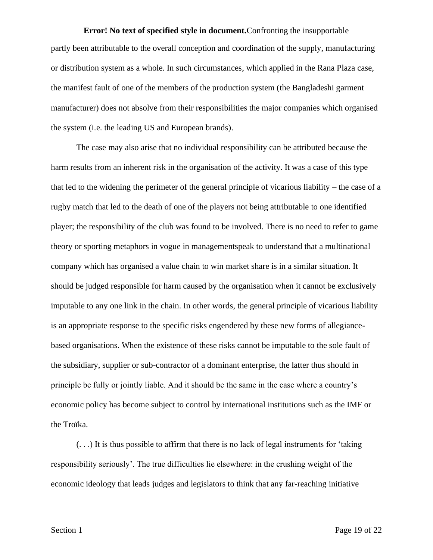**Error! No text of specified style in document.**Confronting the insupportable partly been attributable to the overall conception and coordination of the supply, manufacturing or distribution system as a whole. In such circumstances, which applied in the Rana Plaza case, the manifest fault of one of the members of the production system (the Bangladeshi garment manufacturer) does not absolve from their responsibilities the major companies which organised the system (i.e. the leading US and European brands).

The case may also arise that no individual responsibility can be attributed because the harm results from an inherent risk in the organisation of the activity. It was a case of this type that led to the widening the perimeter of the general principle of vicarious liability – the case of a rugby match that led to the death of one of the players not being attributable to one identified player; the responsibility of the club was found to be involved. There is no need to refer to game theory or sporting metaphors in vogue in managementspeak to understand that a multinational company which has organised a value chain to win market share is in a similar situation. It should be judged responsible for harm caused by the organisation when it cannot be exclusively imputable to any one link in the chain. In other words, the general principle of vicarious liability is an appropriate response to the specific risks engendered by these new forms of allegiancebased organisations. When the existence of these risks cannot be imputable to the sole fault of the subsidiary, supplier or sub-contractor of a dominant enterprise, the latter thus should in principle be fully or jointly liable. And it should be the same in the case where a country's economic policy has become subject to control by international institutions such as the IMF or the Troïka.

(. . .) It is thus possible to affirm that there is no lack of legal instruments for 'taking responsibility seriously'. The true difficulties lie elsewhere: in the crushing weight of the economic ideology that leads judges and legislators to think that any far-reaching initiative

Section 1 Page 19 of 22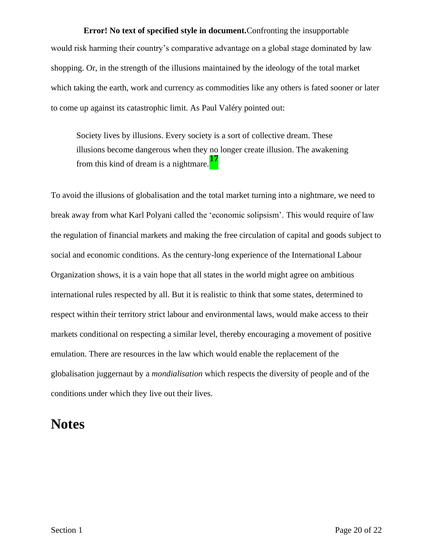**Error! No text of specified style in document.**Confronting the insupportable would risk harming their country's comparative advantage on a global stage dominated by law shopping. Or, in the strength of the illusions maintained by the ideology of the total market which taking the earth, work and currency as commodities like any others is fated sooner or later to come up against its catastrophic limit. As Paul Valéry pointed out:

Society lives by illusions. Every society is a sort of collective dream. These illusions become dangerous when they no longer create illusion. The awakening from this kind of dream is a nightmare.**<sup>17</sup>**

To avoid the illusions of globalisation and the total market turning into a nightmare, we need to break away from what Karl Polyani called the 'economic solipsism'. This would require of law the regulation of financial markets and making the free circulation of capital and goods subject to social and economic conditions. As the century-long experience of the International Labour Organization shows, it is a vain hope that all states in the world might agree on ambitious international rules respected by all. But it is realistic to think that some states, determined to respect within their territory strict labour and environmental laws, would make access to their markets conditional on respecting a similar level, thereby encouraging a movement of positive emulation. There are resources in the law which would enable the replacement of the globalisation juggernaut by a *mondialisation* which respects the diversity of people and of the conditions under which they live out their lives.

### **Notes**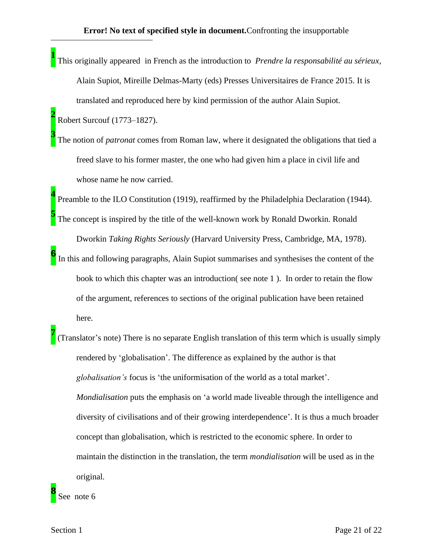**1** This originally appeared in French as the introduction to *Prendre la responsabilité au sérieux*, Alain Supiot, Mireille Delmas-Marty (eds) Presses Universitaires de France 2015. It is translated and reproduced here by kind permission of the author Alain Supiot.

Robert Surcouf (1773–1827).

**2**

**3**

The notion of *patronat* comes from Roman law, where it designated the obligations that tied a freed slave to his former master, the one who had given him a place in civil life and whose name he now carried.

**4** Preamble to the ILO Constitution (1919), reaffirmed by the Philadelphia Declaration (1944). **5** The concept is inspired by the title of the well-known work by Ronald Dworkin. Ronald

Dworkin *Taking Rights Seriously* (Harvard University Press, Cambridge, MA, 1978).

- **6** In this and following paragraphs, Alain Supiot summarises and synthesises the content of the book to which this chapter was an introduction( see note 1 ). In order to retain the flow of the argument, references to sections of the original publication have been retained here.
- **7** (Translator's note) There is no separate English translation of this term which is usually simply rendered by 'globalisation'. The difference as explained by the author is that *globalisation's* focus is 'the uniformisation of the world as a total market'. *Mondialisation* puts the emphasis on 'a world made liveable through the intelligence and diversity of civilisations and of their growing interdependence'. It is thus a much broader concept than globalisation, which is restricted to the economic sphere. In order to maintain the distinction in the translation, the term *mondialisation* will be used as in the original.

**8** ee note 6